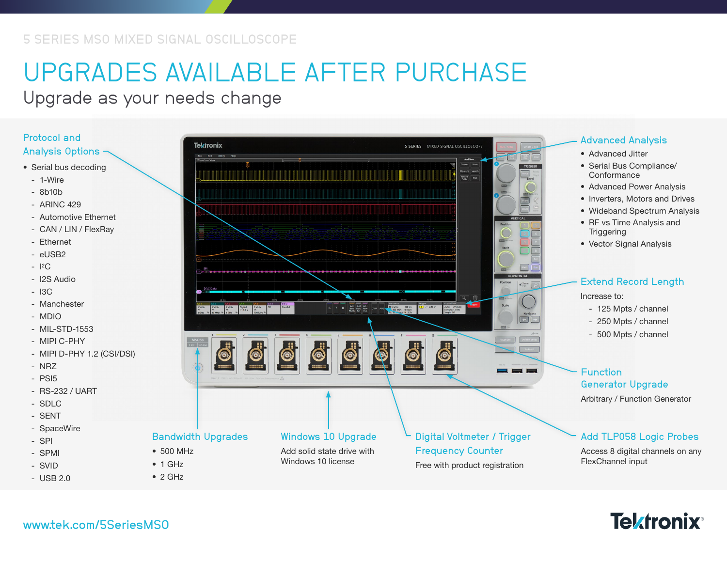# UPGRADES AVAILABLE AFTER PURCHASE

Upgrade as your needs change

#### Protocol and Analysis Options

- Serial bus decoding
	- 1-Wire
	- 8b10b
	- ARINC 429
	- Automotive Ethernet
	- CAN / LIN / FlexRay
	- Ethernet
	- eUSB2
	- I 2C
	- I2S Audio
	- I3C
	- Manchester
	- MDIO
	- MIL-STD-1553
- MIPI C-PHY
- MIPI D-PHY 1.2 (CSI/DSI)
- NRZ
- PSI5
- RS-232 / UART
- SDLC
- SENT
- SpaceWire
- SPI
- SPMI
- SVID
- USB 2.0



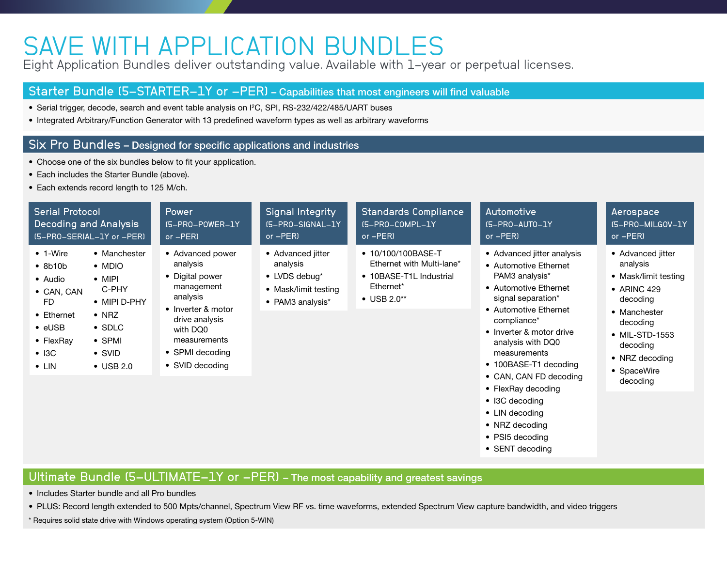## SAVE WITH APPLICATION BUNDLES

Eight Application Bundles deliver outstanding value. Available with 1-year or perpetual licenses.

### Starter Bundle (5-STARTER-1Y or -PER) – Capabilities that most engineers will find valuable

- Serial trigger, decode, search and event table analysis on I2C, SPI, RS-232/422/485/UART buses
- Integrated Arbitrary/Function Generator with 13 predefined waveform types as well as arbitrary waveforms

#### Six Pro Bundles – Designed for specific applications and industries

- Choose one of the six bundles below to fit your application.
- Each includes the Starter Bundle (above).
- Each extends record length to 125 M/ch.

| <b>Serial Protocol</b>                                                                                                                                                                                                                                                                                                      | Power                                                                                                                                                                               | Signal Integrity                                                                                   | <b>Standards Compliance</b>                                                                              | Automotive                                                                                                                                                                                                                                                                                                                                                   | Aerospace                                                                                                                                                                                       |
|-----------------------------------------------------------------------------------------------------------------------------------------------------------------------------------------------------------------------------------------------------------------------------------------------------------------------------|-------------------------------------------------------------------------------------------------------------------------------------------------------------------------------------|----------------------------------------------------------------------------------------------------|----------------------------------------------------------------------------------------------------------|--------------------------------------------------------------------------------------------------------------------------------------------------------------------------------------------------------------------------------------------------------------------------------------------------------------------------------------------------------------|-------------------------------------------------------------------------------------------------------------------------------------------------------------------------------------------------|
| <b>Decoding and Analysis</b>                                                                                                                                                                                                                                                                                                | (5-PRO-POWER-1Y                                                                                                                                                                     | (5-PRO-SIGNAL-1Y                                                                                   | (5-PRO-COMPL-1Y                                                                                          | IS-PRO-AUTO-1Y                                                                                                                                                                                                                                                                                                                                               | (5-PRO-MILGOV-1Y)                                                                                                                                                                               |
| (5-PRO-SERIAL-1Y or -PER)                                                                                                                                                                                                                                                                                                   | $or - PER$                                                                                                                                                                          | or $-PER$                                                                                          | $or - PER$                                                                                               | or $-PER$                                                                                                                                                                                                                                                                                                                                                    | or -PER)                                                                                                                                                                                        |
| $\bullet$ 1-Wire<br>• Manchester<br>$\bullet$ 8b10b<br>• MDIO<br>$\bullet$ MIPI<br>• Audio<br>C-PHY<br>• CAN, CAN<br>FD.<br>• MIPI D-PHY<br>$\bullet$ NRZ<br>• Ethernet<br>$\bullet$ eUSB<br>$\bullet$ SDLC<br>$\bullet$ SPMI<br>$\bullet$ FlexRay<br>$\bullet$ SVID<br>$\bullet$ I3C<br>$\bullet$ LIN<br>$\bullet$ USB 2.0 | • Advanced power<br>analysis<br>• Digital power<br>management<br>analysis<br>• Inverter & motor<br>drive analysis<br>with DQ0<br>measurements<br>• SPMI decoding<br>• SVID decoding | • Advanced jitter<br>analysis<br>$\bullet$ LVDS debug*<br>• Mask/limit testing<br>• PAM3 analysis* | • 10/100/100BASE-T<br>Ethernet with Multi-lane*<br>• 10BASE-T1L Industrial<br>Ethernet*<br>• USB $2.0**$ | • Advanced jitter analysis<br>• Automotive Ethernet<br>PAM3 analysis*<br>• Automotive Ethernet<br>signal separation*<br>• Automotive Ethernet<br>compliance*<br>• Inverter & motor drive<br>analysis with DQ0<br>measurements<br>• 100BASE-T1 decoding<br>• CAN, CAN FD decoding<br>• FlexRay decoding<br>• I3C decoding<br>• LIN decoding<br>• NRZ decoding | • Advanced jitter<br>analysis<br>• Mask/limit testing<br>$\bullet$ ARINC 429<br>decoding<br>• Manchester<br>decoding<br>• MIL-STD-1553<br>decoding<br>• NRZ decoding<br>• SpaceWire<br>decoding |

• SENT decoding

• PSI5 decoding

### Ultimate Bundle (5-ULTIMATE-1Y or -PER) - The most capability and greatest savings

• Includes Starter bundle and all Pro bundles

• PLUS: Record length extended to 500 Mpts/channel, Spectrum View RF vs. time waveforms, extended Spectrum View capture bandwidth, and video triggers

\* Requires solid state drive with Windows operating system (Option 5-WIN)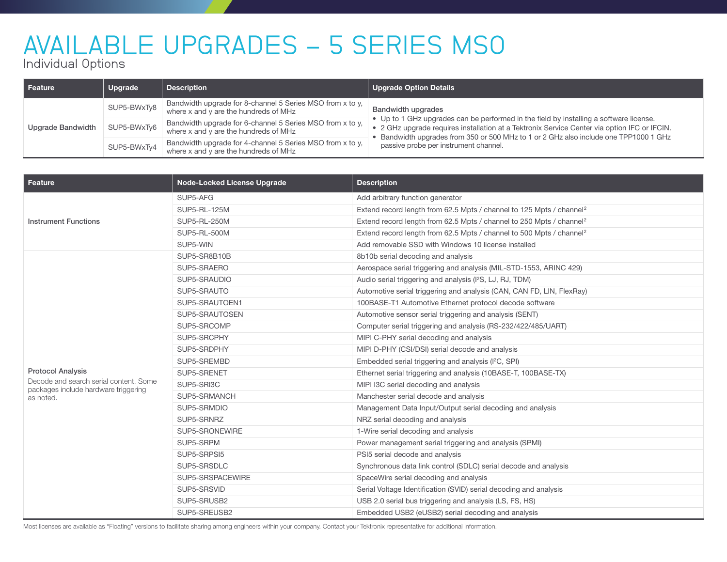# AVAILABLE UPGRADES - 5 SERIES MSO

Individual Options

| l Feature         | Upgrade     | <b>Description</b>                                                                                 | <b>Upgrade Option Details</b>                                                                                                                                                                                                                                                                                                                         |  |
|-------------------|-------------|----------------------------------------------------------------------------------------------------|-------------------------------------------------------------------------------------------------------------------------------------------------------------------------------------------------------------------------------------------------------------------------------------------------------------------------------------------------------|--|
| Upgrade Bandwidth | SUP5-BWxTy8 | Bandwidth upgrade for 8-channel 5 Series MSO from x to y,<br>where x and y are the hundreds of MHz | <b>Bandwidth upgrades</b><br>• Up to 1 GHz upgrades can be performed in the field by installing a software license.<br>• 2 GHz upgrade requires installation at a Tektronix Service Center via option IFC or IFCIN.<br>• Bandwidth upgrades from 350 or 500 MHz to 1 or 2 GHz also include one TPP1000 1 GHz<br>passive probe per instrument channel. |  |
|                   | SUP5-BWxTy6 | Bandwidth upgrade for 6-channel 5 Series MSO from x to y,<br>where x and y are the hundreds of MHz |                                                                                                                                                                                                                                                                                                                                                       |  |
|                   | SUP5-BWxTy4 | Bandwidth upgrade for 4-channel 5 Series MSO from x to y,<br>where x and y are the hundreds of MHz |                                                                                                                                                                                                                                                                                                                                                       |  |

| Feature                                                                        | <b>Node-Locked License Upgrade</b> | <b>Description</b>                                                               |  |
|--------------------------------------------------------------------------------|------------------------------------|----------------------------------------------------------------------------------|--|
|                                                                                | SUP5-AFG                           | Add arbitrary function generator                                                 |  |
|                                                                                | SUP5-RL-125M                       | Extend record length from 62.5 Mpts / channel to 125 Mpts / channel <sup>2</sup> |  |
| <b>Instrument Functions</b>                                                    | <b>SUP5-RL-250M</b>                | Extend record length from 62.5 Mpts / channel to 250 Mpts / channel <sup>2</sup> |  |
|                                                                                | <b>SUP5-RL-500M</b>                | Extend record length from 62.5 Mpts / channel to 500 Mpts / channel <sup>2</sup> |  |
|                                                                                | SUP5-WIN                           | Add removable SSD with Windows 10 license installed                              |  |
|                                                                                | SUP5-SR8B10B                       | 8b10b serial decoding and analysis                                               |  |
|                                                                                | SUP5-SRAERO                        | Aerospace serial triggering and analysis (MIL-STD-1553, ARINC 429)               |  |
|                                                                                | SUP5-SRAUDIO                       | Audio serial triggering and analysis (I <sup>2</sup> S, LJ, RJ, TDM)             |  |
|                                                                                | SUP5-SRAUTO                        | Automotive serial triggering and analysis (CAN, CAN FD, LIN, FlexRay)            |  |
|                                                                                | SUP5-SRAUTOEN1                     | 100BASE-T1 Automotive Ethernet protocol decode software                          |  |
|                                                                                | SUP5-SRAUTOSEN                     | Automotive sensor serial triggering and analysis (SENT)                          |  |
|                                                                                | SUP5-SRCOMP                        | Computer serial triggering and analysis (RS-232/422/485/UART)                    |  |
|                                                                                | SUP5-SRCPHY                        | MIPI C-PHY serial decoding and analysis                                          |  |
|                                                                                | SUP5-SRDPHY                        | MIPI D-PHY (CSI/DSI) serial decode and analysis                                  |  |
|                                                                                | SUP5-SREMBD                        | Embedded serial triggering and analysis (I <sup>2</sup> C, SPI)                  |  |
| <b>Protocol Analysis</b>                                                       | SUP5-SRENET                        | Ethernet serial triggering and analysis (10BASE-T, 100BASE-TX)                   |  |
| Decode and search serial content. Some<br>packages include hardware triggering | SUP5-SRI3C                         | MIPI I3C serial decoding and analysis                                            |  |
| as noted.                                                                      | SUP5-SRMANCH                       | Manchester serial decode and analysis                                            |  |
|                                                                                | SUP5-SRMDIO                        | Management Data Input/Output serial decoding and analysis                        |  |
|                                                                                | SUP5-SRNRZ                         | NRZ serial decoding and analysis                                                 |  |
|                                                                                | SUP5-SRONEWIRE                     | 1-Wire serial decoding and analysis                                              |  |
|                                                                                | SUP5-SRPM                          | Power management serial triggering and analysis (SPMI)                           |  |
|                                                                                | SUP5-SRPSI5                        | PSI5 serial decode and analysis                                                  |  |
|                                                                                | SUP5-SRSDLC                        | Synchronous data link control (SDLC) serial decode and analysis                  |  |
|                                                                                | SUP5-SRSPACEWIRE                   | SpaceWire serial decoding and analysis                                           |  |
|                                                                                | SUP5-SRSVID                        | Serial Voltage Identification (SVID) serial decoding and analysis                |  |
|                                                                                | SUP5-SRUSB2                        | USB 2.0 serial bus triggering and analysis (LS, FS, HS)                          |  |
|                                                                                | SUP5-SREUSB2                       | Embedded USB2 (eUSB2) serial decoding and analysis                               |  |

Most licenses are available as "Floating" versions to facilitate sharing among engineers within your company. Contact your Tektronix representative for additional information.